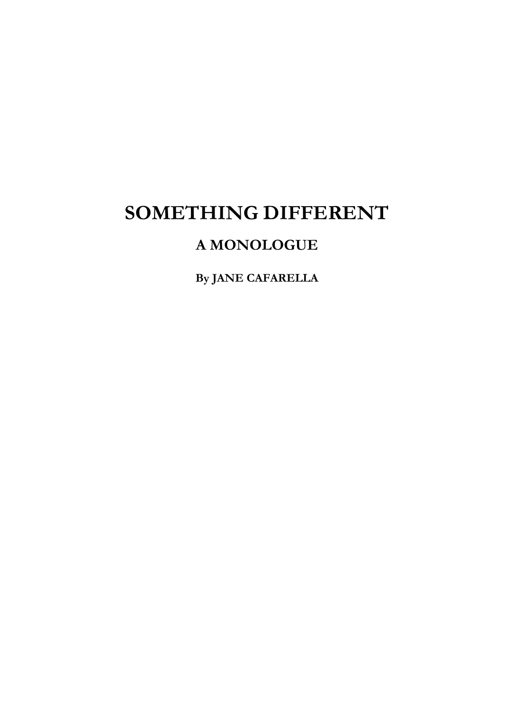## **SOMETHING DIFFERENT**

## **A MONOLOGUE**

**By JANE CAFARELLA**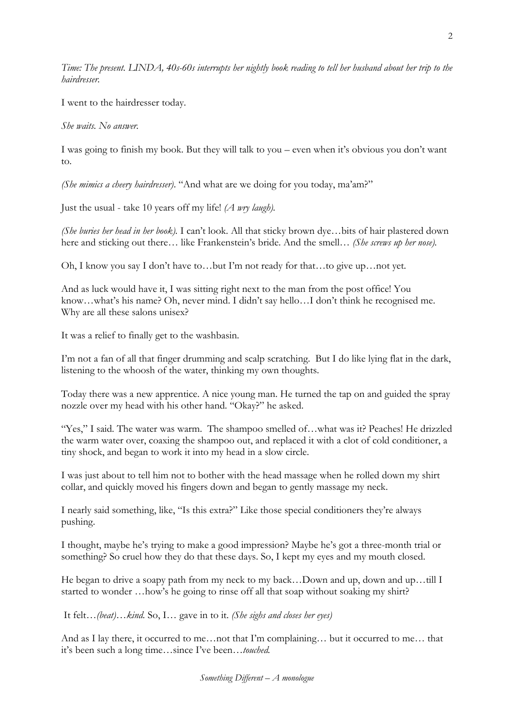*Time: The present. LINDA, 40s-60s interrupts her nightly book reading to tell her husband about her trip to the hairdresser.*

I went to the hairdresser today.

*She waits. No answer.*

I was going to finish my book. But they will talk to you – even when it's obvious you don't want to.

*(She mimics a cheery hairdresser)*. "And what are we doing for you today, ma'am?"

Just the usual - take 10 years off my life! *(A wry laugh).*

*(She buries her head in her book).* I can't look. All that sticky brown dye…bits of hair plastered down here and sticking out there… like Frankenstein's bride. And the smell… *(She screws up her nose).*

Oh, I know you say I don't have to…but I'm not ready for that…to give up…not yet.

And as luck would have it, I was sitting right next to the man from the post office! You know…what's his name? Oh, never mind. I didn't say hello…I don't think he recognised me. Why are all these salons unisex?

It was a relief to finally get to the washbasin.

I'm not a fan of all that finger drumming and scalp scratching. But I do like lying flat in the dark, listening to the whoosh of the water, thinking my own thoughts.

Today there was a new apprentice. A nice young man. He turned the tap on and guided the spray nozzle over my head with his other hand. "Okay?" he asked.

"Yes," I said. The water was warm. The shampoo smelled of…what was it? Peaches! He drizzled the warm water over, coaxing the shampoo out, and replaced it with a clot of cold conditioner, a tiny shock, and began to work it into my head in a slow circle.

I was just about to tell him not to bother with the head massage when he rolled down my shirt collar, and quickly moved his fingers down and began to gently massage my neck.

I nearly said something, like, "Is this extra?" Like those special conditioners they're always pushing.

I thought, maybe he's trying to make a good impression? Maybe he's got a three-month trial or something? So cruel how they do that these days. So, I kept my eyes and my mouth closed.

He began to drive a soapy path from my neck to my back...Down and up, down and up...till I started to wonder …how's he going to rinse off all that soap without soaking my shirt?

It felt…*(beat)…kind.* So, I… gave in to it. *(She sighs and closes her eyes)*

And as I lay there, it occurred to me... not that I'm complaining... but it occurred to me... that it's been such a long time…since I've been…*touched.*